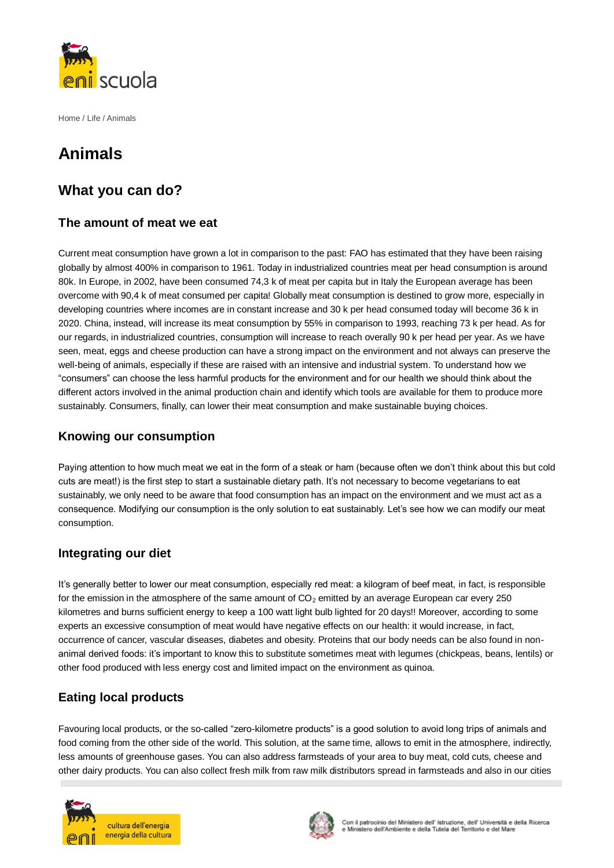

Home / Life / Animals

# **Animals**

# **What you can do?**

#### **The amount of meat we eat**

Current meat consumption have grown a lot in comparison to the past: FAO has estimated that they have been raising globally by almost 400% in comparison to 1961. Today in industrialized countries meat per head consumption is around 80k. In Europe, in 2002, have been consumed 74,3 k of meat per capita but in Italy the European average has been overcome with 90,4 k of meat consumed per capita! Globally meat consumption is destined to grow more, especially in developing countries where incomes are in constant increase and 30 k per head consumed today will become 36 k in 2020. China, instead, will increase its meat consumption by 55% in comparison to 1993, reaching 73 k per head. As for our regards, in industrialized countries, consumption will increase to reach overally 90 k per head per year. As we have seen, meat, eggs and cheese production can have a strong impact on the environment and not always can preserve the well-being of animals, especially if these are raised with an intensive and industrial system. To understand how we "consumers" can choose the less harmful products for the environment and for our health we should think about the different actors involved in the animal production chain and identify which tools are available for them to produce more sustainably. Consumers, finally, can lower their meat consumption and make sustainable buying choices.

### **Knowing our consumption**

Paying attention to how much meat we eat in the form of a steak or ham (because often we don't think about this but cold cuts are meat!) is the first step to start a sustainable dietary path. It's not necessary to become vegetarians to eat sustainably, we only need to be aware that food consumption has an impact on the environment and we must act as a consequence. Modifying our consumption is the only solution to eat sustainably. Let's see how we can modify our meat consumption.

#### **Integrating our diet**

It's generally better to lower our meat consumption, especially red meat: a kilogram of beef meat, in fact, is responsible for the emission in the atmosphere of the same amount of  $CO<sub>2</sub>$  emitted by an average European car every 250 kilometres and burns sufficient energy to keep a 100 watt light bulb lighted for 20 days!! Moreover, according to some experts an excessive consumption of meat would have negative effects on our health: it would increase, in fact, occurrence of cancer, vascular diseases, diabetes and obesity. Proteins that our body needs can be also found in nonanimal derived foods: it's important to know this to substitute sometimes meat with legumes (chickpeas, beans, lentils) or other food produced with less energy cost and limited impact on the environment as quinoa.

### **Eating local products**

Favouring local products, or the so-called "zero-kilometre products" is a good solution to avoid long trips of animals and food coming from the other side of the world. This solution, at the same time, allows to emit in the atmosphere, indirectly, less amounts of greenhouse gases. You can also address farmsteads of your area to buy meat, cold cuts, cheese and other dairy products. You can also collect fresh milk from raw milk distributors spread in farmsteads and also in our cities